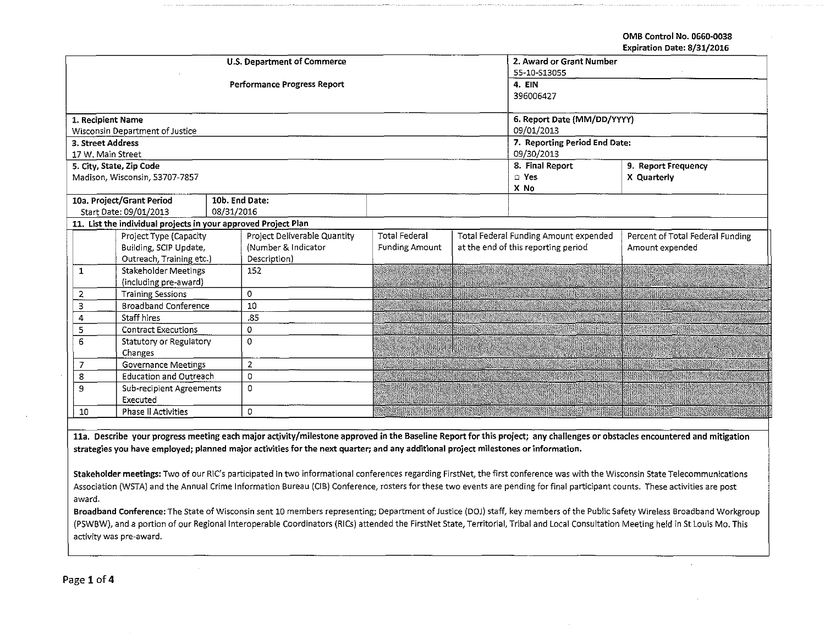OMB Control No. 0660-0038

Expiration Date: 8/31/2016

|                                 |                                                                |                | <b>U.S. Department of Commerce</b> | 2. Award or Grant Number    |            |                                       |                                  |  |  |
|---------------------------------|----------------------------------------------------------------|----------------|------------------------------------|-----------------------------|------------|---------------------------------------|----------------------------------|--|--|
|                                 |                                                                |                |                                    | 55-10-S13055                |            |                                       |                                  |  |  |
|                                 |                                                                |                | Performance Progress Report        | 4. EIN                      |            |                                       |                                  |  |  |
|                                 |                                                                |                |                                    | 396006427                   |            |                                       |                                  |  |  |
|                                 |                                                                |                |                                    |                             |            |                                       |                                  |  |  |
| 1. Recipient Name               |                                                                |                |                                    | 6. Report Date (MM/DD/YYYY) |            |                                       |                                  |  |  |
|                                 | Wisconsin Department of Justice                                |                |                                    |                             | 09/01/2013 |                                       |                                  |  |  |
| 3. Street Address               |                                                                |                |                                    |                             |            | 7. Reporting Period End Date:         |                                  |  |  |
| 17 W. Main Street               |                                                                |                |                                    |                             |            | 09/30/2013                            |                                  |  |  |
|                                 | 5. City, State, Zip Code                                       |                |                                    |                             |            | 8. Final Report                       | 9. Report Frequency              |  |  |
|                                 | Madison, Wisconsin, 53707-7857                                 |                |                                    |                             |            | $\Box$ Yes                            | X Quarterly                      |  |  |
|                                 |                                                                |                |                                    |                             |            | X No                                  |                                  |  |  |
|                                 | 10a. Project/Grant Period                                      | 10b. End Date: |                                    |                             |            |                                       |                                  |  |  |
|                                 | Start Date: 09/01/2013                                         | 08/31/2016     |                                    |                             |            |                                       |                                  |  |  |
|                                 | 11. List the individual projects in your approved Project Plan |                |                                    |                             |            |                                       |                                  |  |  |
|                                 | Project Type (Capacity                                         |                | Project Deliverable Quantity       | <b>Total Federal</b>        |            | Total Federal Funding Amount expended | Percent of Total Federal Funding |  |  |
|                                 | Building, SCIP Update,                                         |                | (Number & Indicator                | <b>Funding Amount</b>       |            | at the end of this reporting period   | Amount expended                  |  |  |
|                                 | Outreach, Training etc.)                                       |                | Description)                       |                             |            |                                       |                                  |  |  |
| 1                               | Stakeholder Meetings                                           |                | 152                                |                             |            |                                       |                                  |  |  |
|                                 | (including pre-award)                                          |                |                                    |                             |            |                                       |                                  |  |  |
| $\overline{2}$                  | <b>Training Sessions</b>                                       |                | 0                                  |                             |            |                                       |                                  |  |  |
| 3                               | <b>Broadband Conference</b>                                    |                | 10                                 |                             |            |                                       |                                  |  |  |
| 4                               | Staff hires                                                    |                | .85                                |                             |            |                                       |                                  |  |  |
| 5                               | <b>Contract Executions</b>                                     |                | $\Omega$                           |                             |            |                                       |                                  |  |  |
| 6<br>Statutory or Regulatory    |                                                                | $\Omega$       |                                    |                             |            |                                       |                                  |  |  |
| Changes                         |                                                                |                |                                    |                             |            |                                       |                                  |  |  |
| 7<br><b>Governance Meetings</b> |                                                                | $\overline{2}$ |                                    |                             |            |                                       |                                  |  |  |
| 8                               | <b>Education and Outreach</b>                                  |                | 0                                  |                             |            |                                       |                                  |  |  |
| 9<br>Sub-recipient Agreements   |                                                                | 0              |                                    |                             |            |                                       |                                  |  |  |
| Executed                        |                                                                |                |                                    |                             |            |                                       |                                  |  |  |
| Phase II Activities<br>10       |                                                                | 0              |                                    |                             |            |                                       |                                  |  |  |

11a. Describe your progress meeting each major activity/milestone approved in the Baseline Report for this project; any challenges or obstacles encountered and mitigation strategies you have employed; planned major activities for the next quarter; and any additional project milestones or information.

Stakeholder meetings: Two of our RIC's participated in two informational conferences regarding FirstNet, the first conference was with the Wisconsin State Telecommunications Association (WSTA) and the Annual Crime Information Bureau (CIB) Conference, rosters for these two events are pending for final participant counts. These activities are post award.

Broadband Conference: The State of Wisconsin sent 10 members representing; Department of Justice (DOJ) staff, key members of the Public Safety Wireless Broadband Workgroup (PSWBW), and a portion of our Regional Interoperable Coordinators (RICs) attended the FirstNet State, Territorial, Tribal and Local Consultation Meeting held in St Louis Mo. This activity was pre-award.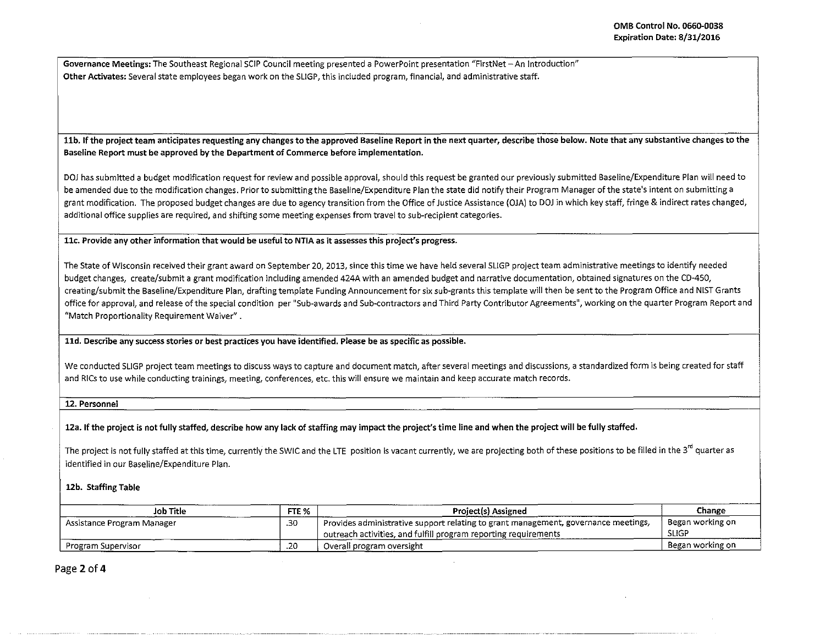Governance Meetings: The Southeast Regional SCIP Council meeting presented a PowerPoint presentation "FirstNet- An Introduction" Other Activates: Several state employees began work on the SUGP, this included program, financial, and administrative staff.

11b. If the project team anticipates requesting any changes to the approved Baseline Report in the next quarter, describe those below. Note that any substantive changes to the Baseline Report must be approved by the Department of Commerce before implementation.

DOJ has submitted a budget modification request for review and possible approval, should this request be granted our previously submitted Baseline/Expenditure Plan will need to be amended due to the modification changes. Prior to submitting the Baseline/Expenditure Plan the state did notify their Program Manager of the state's intent on submitting a grant modification. The proposed budget changes are due to agency transition from the Office of Justice Assistance (OJA) to DOJ in which key staff, fringe & indirect rates changed, additional office supplies are required, and shifting some meeting expenses from travel to sub-recipient categories.

llc. Provide any other information that would be useful to NTIA as it assesses this project's progress.

The State of Wisconsin received their grant award on September 20, 2013, since this time we have held several SUGP project team administrative meetings to identify needed budget changes, create/submit a grant modification including amended 424A with an amended budget and narrative documentation, obtained signatures on the CD-450, creating/submit the Baseline/Expenditure Plan, drafting template Funding Announcement for six sub-grants this template will then be sent to the Program Office and NIST Grants office for approval, and release of the special condition per "Sub-awards and Sub-contractors and Third Party Contributor Agreements", working on the quarter Program Report and "Match Proportionality Requirement Waiver".

lld. Describe any success stories or best practices you have identified. Please be as specific as possible.

We conducted SLIGP project team meetings to discuss ways to capture and document match, after several meetings and discussions, a standardized form is being created for staff and RlCs to use while conducting trainings, meeting, conferences, etc. this will ensure we maintain and keep accurate match records.

12. Personnel

12a. If the project is not fully staffed, describe how any lack of staffing may impact the project's time line and when the project will be fully staffed.

The project is not fully staffed at this time, currently the SWIC and the LTE position is vacant currently, we are projecting both of these positions to be filled in the 3<sup>rd</sup> quarter as identified in our Baseline/Expenditure Plan.

12b. Staffing Table

| Job Title                  | FTE %      | <b>Project(s) Assigned</b>                                                                                                                            | Change                           |
|----------------------------|------------|-------------------------------------------------------------------------------------------------------------------------------------------------------|----------------------------------|
| Assistance Program Manager | .30        | Provides administrative support relating to grant management, governance meetings,<br>outreach activities, and fulfill program reporting requirements | Began working on<br><b>SLIGP</b> |
| Program Supervisor         | - -<br>∪∡. | Overali program oversight                                                                                                                             | Began working on                 |

Page 2 of 4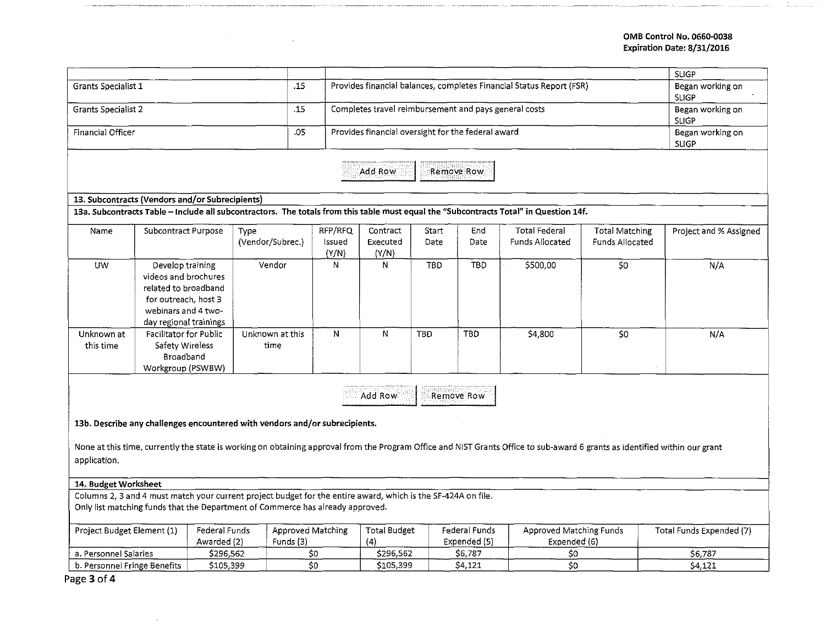## OMB Control No. 0660-0038 Expiration Date: 8/31/2016

|                                                                                                                                                                                                 |                                                                                                                                           |                         |           |                 |                                                                      |                                  |               |                                                                                                                                       |                       | <b>SLIGP</b>             |
|-------------------------------------------------------------------------------------------------------------------------------------------------------------------------------------------------|-------------------------------------------------------------------------------------------------------------------------------------------|-------------------------|-----------|-----------------|----------------------------------------------------------------------|----------------------------------|---------------|---------------------------------------------------------------------------------------------------------------------------------------|-----------------------|--------------------------|
| Grants Specialist 1                                                                                                                                                                             |                                                                                                                                           |                         |           |                 | Provides financial balances, completes Financial Status Report (FSR) | Began working on<br><b>SLIGP</b> |               |                                                                                                                                       |                       |                          |
| <b>Grants Specialist 2</b>                                                                                                                                                                      |                                                                                                                                           |                         |           |                 | Completes travel reimbursement and pays general costs                | Began working on<br><b>SLIGP</b> |               |                                                                                                                                       |                       |                          |
| Financial Officer<br>.05                                                                                                                                                                        |                                                                                                                                           |                         |           |                 | Provides financial oversight for the federal award                   | Began working on<br><b>SLIGP</b> |               |                                                                                                                                       |                       |                          |
| Add Row<br>Remove Row                                                                                                                                                                           |                                                                                                                                           |                         |           |                 |                                                                      |                                  |               |                                                                                                                                       |                       |                          |
|                                                                                                                                                                                                 | 13. Subcontracts (Vendors and/or Subrecipients)                                                                                           |                         |           |                 |                                                                      |                                  |               |                                                                                                                                       |                       |                          |
|                                                                                                                                                                                                 |                                                                                                                                           |                         |           |                 |                                                                      |                                  |               | 13a. Subcontracts Table - Include all subcontractors. The totals from this table must equal the "Subcontracts Total" in Question 14f. |                       |                          |
| Name                                                                                                                                                                                            | Subcontract Purpose                                                                                                                       | Type                    |           | RFP/RFQ         | Contract                                                             | Start                            | End           | <b>Total Federal</b>                                                                                                                  | <b>Total Matching</b> | Project and % Assigned   |
|                                                                                                                                                                                                 |                                                                                                                                           | (Vendor/Subrec.)        |           | Issued<br>(Y/N) | Executed<br>(Y/N)                                                    | Date                             | <b>Date</b>   | Funds Allocated                                                                                                                       | Funds Allocated       |                          |
| <b>UW</b>                                                                                                                                                                                       | Develop training<br>videos and brochures<br>related to broadband<br>for outreach, host 3<br>webinars and 4 two-<br>day regional trainings | Vendor                  |           | N.              | N                                                                    | <b>TBD</b>                       | <b>TBD</b>    | \$500,00                                                                                                                              | 50                    | N/A                      |
| Unknown at<br>this time                                                                                                                                                                         | Facilitator for Public<br>Safety Wireless<br>Broadband<br>Workgroup (PSWBW)                                                               | Unknown at this<br>time |           | $\mathbf N$     | N                                                                    | TBD                              | TBD           | \$4,800                                                                                                                               | S <sub>0</sub>        | N/A                      |
| Add Row<br>Remove Row<br>13b. Describe any challenges encountered with vendors and/or subrecipients.                                                                                            |                                                                                                                                           |                         |           |                 |                                                                      |                                  |               |                                                                                                                                       |                       |                          |
|                                                                                                                                                                                                 |                                                                                                                                           |                         |           |                 |                                                                      |                                  |               |                                                                                                                                       |                       |                          |
| None at this time, currently the state is working on obtaining approval from the Program Office and NIST Grants Office to sub-award 6 grants as identified within our grant                     |                                                                                                                                           |                         |           |                 |                                                                      |                                  |               |                                                                                                                                       |                       |                          |
| application.                                                                                                                                                                                    |                                                                                                                                           |                         |           |                 |                                                                      |                                  |               |                                                                                                                                       |                       |                          |
| 14. Budget Worksheet                                                                                                                                                                            |                                                                                                                                           |                         |           |                 |                                                                      |                                  |               |                                                                                                                                       |                       |                          |
| Columns 2, 3 and 4 must match your current project budget for the entire award, which is the SF-424A on file.<br>Only list matching funds that the Department of Commerce has already approved. |                                                                                                                                           |                         |           |                 |                                                                      |                                  |               |                                                                                                                                       |                       |                          |
| Project Budget Element (1)<br>Federal Funds<br>Approved Matching                                                                                                                                |                                                                                                                                           |                         |           |                 | <b>Total Budget</b>                                                  |                                  | Federal Funds | Approved Matching Funds                                                                                                               |                       | Total Funds Expended (7) |
| Awarded (2)                                                                                                                                                                                     |                                                                                                                                           |                         | Funds (3) |                 | (4)                                                                  |                                  | Expended (5)  | Expended (6)                                                                                                                          |                       |                          |
| a. Personnel Salaries<br>\$296,562                                                                                                                                                              |                                                                                                                                           |                         | 50        | \$296,562       |                                                                      | \$6,787                          | \$0           |                                                                                                                                       | \$6,787               |                          |
| b. Personnel Fringe Benefits<br>\$105,399                                                                                                                                                       |                                                                                                                                           |                         | 50        |                 | \$105,399<br>\$4,121                                                 |                                  | \$0.          |                                                                                                                                       | \$4,121               |                          |

 $\sim$ 

**Contract Contract** 

Page 3 of 4

 $\sim 100$